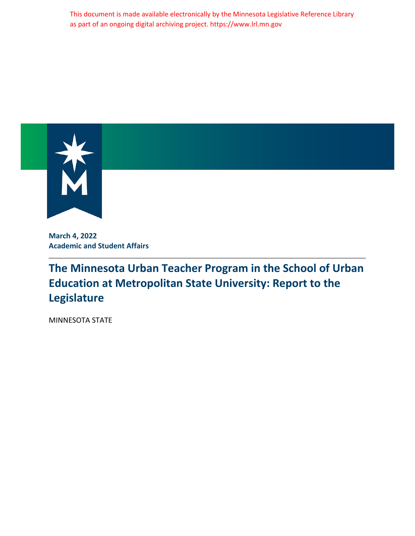This document is made available electronically by the Minnesota Legislative Reference Library as part of an ongoing digital archiving project. https://www.lrl.mn.gov



**March 4, 2022 Academic and Student Affairs**

## **The Minnesota Urban Teacher Program in the School of Urban Education at Metropolitan State University: Report to the Legislature**

MINNESOTA STATE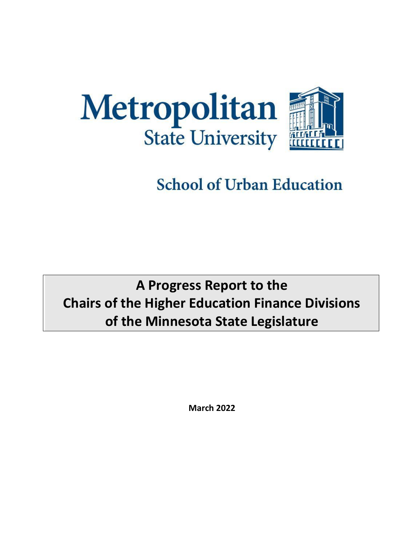

# **School of Urban Education**

## **A Progress Report to the Chairs of the Higher Education Finance Divisions of the Minnesota State Legislature**

**March 2022**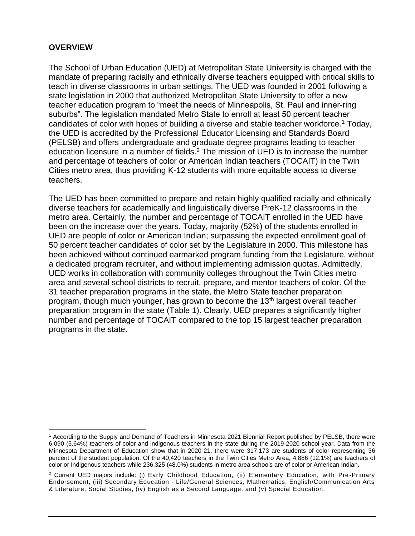### **OVERVIEW**

The School of Urban Education (UED) at Metropolitan State University is charged with the mandate of preparing racially and ethnically diverse teachers equipped with critical skills to teach in diverse classrooms in urban settings. The UED was founded in 2001 following a state legislation in 2000 that authorized Metropolitan State University to offer a new teacher education program to "meet the needs of Minneapolis, St. Paul and inner-ring suburbs". The legislation mandated Metro State to enroll at least 50 percent teacher candidates of color with hopes of building a diverse and stable teacher workforce.<sup>1</sup> Today, the UED is accredited by the Professional Educator Licensing and Standards Board (PELSB) and offers undergraduate and graduate degree programs leading to teacher education licensure in a number of fields.<sup>2</sup> The mission of UED is to increase the number and percentage of teachers of color or American Indian teachers (TOCAIT) in the Twin Cities metro area, thus providing K-12 students with more equitable access to diverse teachers.

The UED has been committed to prepare and retain highly qualified racially and ethnically diverse teachers for academically and linguistically diverse PreK-12 classrooms in the metro area. Certainly, the number and percentage of TOCAIT enrolled in the UED have been on the increase over the years. Today, majority (52%) of the students enrolled in UED are people of color or American Indian; surpassing the expected enrollment goal of 50 percent teacher candidates of color set by the Legislature in 2000. This milestone has been achieved without continued earmarked program funding from the Legislature, without a dedicated program recruiter, and without implementing admission quotas. Admittedly, UED works in collaboration with community colleges throughout the Twin Cities metro area and several school districts to recruit, prepare, and mentor teachers of color. Of the 31 teacher preparation programs in the state, the Metro State teacher preparation program, though much younger, has grown to become the 13<sup>th</sup> largest overall teacher preparation program in the state (Table 1). Clearly, UED prepares a significantly higher number and percentage of TOCAIT compared to the top 15 largest teacher preparation programs in the state.

<sup>1</sup> According to the Supply and Demand of Teachers in Minnesota 2021 Biennial Report published by PELSB, there were 6,090 (5.64%) teachers of color and indigenous teachers in the state during the 2019-2020 school year. Data from the Minnesota Department of Education show that in 2020-21, there were 317,173 are students of color representing 36 percent of the student population. Of the 40,420 teachers in the Twin Cities Metro Area, 4,886 (12.1%) are teachers of color or Indigenous teachers while 236,325 (48.0%) students in metro area schools are of color or American Indian.

<sup>2</sup> Current UED majors include: (i) Early Childhood Education, (ii) Elementary Education, with Pre-Primary Endorsement, (iii) Secondary Education - Life/General Sciences, Mathematics, English/Communication Arts & Literature, Social Studies, (iv) English as a Second Language, and (v) Special Education.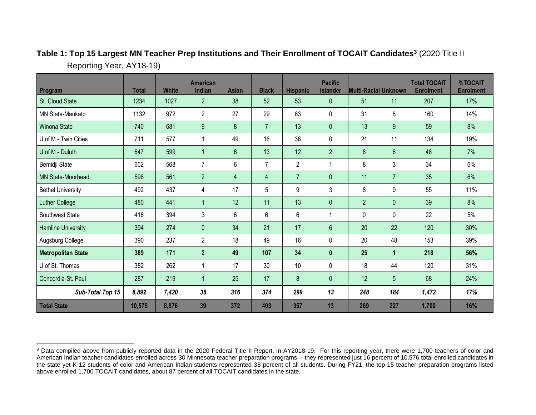| Program                   | <b>Total</b> | <b>White</b> | American<br>Indian | <b>Asian</b>   | <b>Black</b>   | <b>Hispanic</b>  | <b>Pacific</b><br><b>Islander</b> | Multi-Racial Unknown |                      | <b>Total TOCAIT</b><br><b>Enrolment</b> | %TOCAIT<br><b>Enrolment</b> |
|---------------------------|--------------|--------------|--------------------|----------------|----------------|------------------|-----------------------------------|----------------------|----------------------|-----------------------------------------|-----------------------------|
| St. Cloud State           | 1234         | 1027         | $\overline{2}$     | 38             | 52             | 53               | 0                                 | 51                   | 11                   | 207                                     | 17%                         |
| <b>MN State-Mankato</b>   | 1132         | 972          | $\overline{2}$     | 27             | 29             | 63               | 0                                 | 31                   | 8                    | 160                                     | 14%                         |
| Winona State              | 740          | 681          | 9                  | 8              | $\overline{7}$ | 13               | $\mathbf{0}$                      | 13                   | 9                    | 59                                      | 8%                          |
| U of M - Twin Cities      | 711          | 577          | 1                  | 49             | 16             | 36               | 0                                 | 21                   | 11                   | 134                                     | 19%                         |
| U of M - Duluth           | 647          | 599          | $\mathbf{1}$       | $6\phantom{1}$ | 13             | 12               | $\overline{2}$                    | 8                    | $6\phantom{1}$       | 48                                      | 7%                          |
| Bemidji State             | 602          | 568          | $\overline{7}$     | 6              | $\overline{7}$ | $\overline{2}$   | 1                                 | 8                    | 3                    | 34                                      | 6%                          |
| <b>MN State-Moorhead</b>  | 596          | 561          | $\overline{2}$     | $\overline{4}$ | $\overline{4}$ | $\overline{7}$   | $\mathbf{0}$                      | 11                   | $\overline{7}$       | 35                                      | 6%                          |
| <b>Bethel University</b>  | 492          | 437          | 4                  | 17             | 5              | 9                | 3                                 | 8                    | 9                    | 55                                      | 11%                         |
| <b>Luther College</b>     | 480          | 441          | $\mathbf{1}$       | 12             | 11             | 13               | $\mathbf 0$                       | $\overline{2}$       | $\mathbf 0$          | 39                                      | 8%                          |
| Southwest State           | 416          | 394          | 3                  | 6              | $6\phantom{1}$ | $6\phantom{1}$   | 1                                 | $\mathbf 0$          | $\mathbf 0$          | 22                                      | 5%                          |
| <b>Hamline University</b> | 394          | 274          | $\mathbf{0}$       | 34             | 21             | 17               | $6\phantom{1}$                    | 20                   | 22                   | 120                                     | 30%                         |
| Augsburg College          | 390          | 237          | $\overline{2}$     | 18             | 49             | 16               | 0                                 | 20                   | 48                   | 153                                     | 39%                         |
| <b>Metropolitan State</b> | 389          | 171          | $\overline{2}$     | 49             | 107            | 34               | $\mathbf{0}$                      | 25                   | $\blacktriangleleft$ | 218                                     | 56%                         |
| U of St. Thomas           | 382          | 262          | 1                  | 17             | 30             | 10               | 0                                 | 18                   | 44                   | 120                                     | 31%                         |
| Concordia-St. Paul        | 287          | 219          | $\mathbf{1}$       | 25             | 17             | $\boldsymbol{8}$ | $\mathbf{0}$                      | 12                   | 5                    | 68                                      | 24%                         |
| Sub-Total Top 15          | 8,892        | 7,420        | 38                 | 316            | 374            | 299              | 13                                | 248                  | 184                  | 1,472                                   | 17%                         |
| <b>Total State</b>        | 10,576       | 8,876        | 39                 | 372            | 403            | 357              | 13                                | 269                  | 227                  | 1,700                                   | 16%                         |

## **Table 1: Top 15 Largest MN Teacher Prep Institutions and Their Enrollment of TOCAIT Candidates<sup>3</sup>** (2020 Title II Reporting Year, AY18-19)

<sup>&</sup>lt;sup>3</sup> Data compiled above from publicly reported data in the 2020 Federal Title II Report, in AY2018-19. For this reporting year, there were 1,700 teachers of color and American Indian teacher candidates enrolled across 30 Minnesota teacher preparation programs -- they represented just 16 percent of 10,576 total enrolled candidates in the state yet K-12 students of color and American Indian students represented 38 percent of all students. During FY21, the top 15 teacher preparation programs listed above enrolled 1,700 TOCAIT candidates, about 87 percent of all TOCAIT candidates in the state.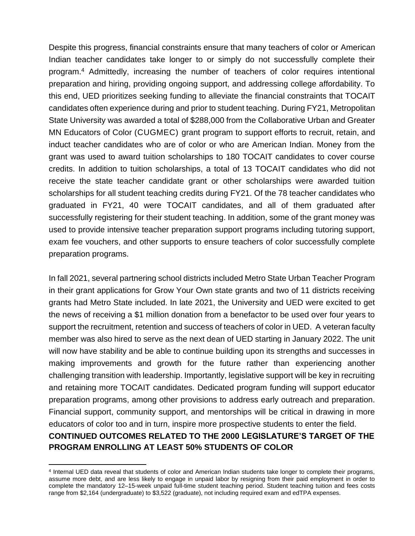Despite this progress, financial constraints ensure that many teachers of color or American Indian teacher candidates take longer to or simply do not successfully complete their program.<sup>4</sup> Admittedly, increasing the number of teachers of color requires intentional preparation and hiring, providing ongoing support, and addressing college affordability. To this end, UED prioritizes seeking funding to alleviate the financial constraints that TOCAIT candidates often experience during and prior to student teaching. During FY21, Metropolitan State University was awarded a total of \$288,000 from the Collaborative Urban and Greater MN Educators of Color (CUGMEC) grant program to support efforts to recruit, retain, and induct teacher candidates who are of color or who are American Indian. Money from the grant was used to award tuition scholarships to 180 TOCAIT candidates to cover course credits. In addition to tuition scholarships, a total of 13 TOCAIT candidates who did not receive the state teacher candidate grant or other scholarships were awarded tuition scholarships for all student teaching credits during FY21. Of the 78 teacher candidates who graduated in FY21, 40 were TOCAIT candidates, and all of them graduated after successfully registering for their student teaching. In addition, some of the grant money was used to provide intensive teacher preparation support programs including tutoring support, exam fee vouchers, and other supports to ensure teachers of color successfully complete preparation programs.

In fall 2021, several partnering school districts included Metro State Urban Teacher Program in their grant applications for Grow Your Own state grants and two of 11 districts receiving grants had Metro State included. In late 2021, the University and UED were excited to get the news of receiving a \$1 million donation from a benefactor to be used over four years to support the recruitment, retention and success of teachers of color in UED. A veteran faculty member was also hired to serve as the next dean of UED starting in January 2022. The unit will now have stability and be able to continue building upon its strengths and successes in making improvements and growth for the future rather than experiencing another challenging transition with leadership. Importantly, legislative support will be key in recruiting and retaining more TOCAIT candidates. Dedicated program funding will support educator preparation programs, among other provisions to address early outreach and preparation. Financial support, community support, and mentorships will be critical in drawing in more educators of color too and in turn, inspire more prospective students to enter the field. **CONTINUED OUTCOMES RELATED TO THE 2000 LEGISLATURE'S TARGET OF THE PROGRAM ENROLLING AT LEAST 50% STUDENTS OF COLOR** 

<sup>4</sup> Internal UED data reveal that students of color and American Indian students take longer to complete their programs, assume more debt, and are less likely to engage in unpaid labor by resigning from their paid employment in order to complete the mandatory 12–15-week unpaid full-time student teaching period. Student teaching tuition and fees costs range from \$2,164 (undergraduate) to \$3,522 (graduate), not including required exam and edTPA expenses.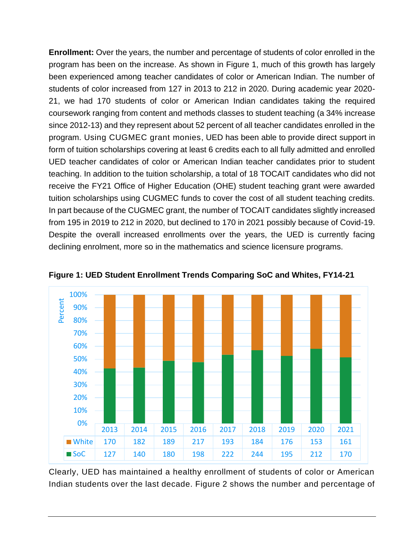**Enrollment:** Over the years, the number and percentage of students of color enrolled in the program has been on the increase. As shown in Figure 1, much of this growth has largely been experienced among teacher candidates of color or American Indian. The number of students of color increased from 127 in 2013 to 212 in 2020. During academic year 2020- 21, we had 170 students of color or American Indian candidates taking the required coursework ranging from content and methods classes to student teaching (a 34% increase since 2012-13) and they represent about 52 percent of all teacher candidates enrolled in the program. Using CUGMEC grant monies, UED has been able to provide direct support in form of tuition scholarships covering at least 6 credits each to all fully admitted and enrolled UED teacher candidates of color or American Indian teacher candidates prior to student teaching. In addition to the tuition scholarship, a total of 18 TOCAIT candidates who did not receive the FY21 Office of Higher Education (OHE) student teaching grant were awarded tuition scholarships using CUGMEC funds to cover the cost of all student teaching credits. In part because of the CUGMEC grant, the number of TOCAIT candidates slightly increased from 195 in 2019 to 212 in 2020, but declined to 170 in 2021 possibly because of Covid-19. Despite the overall increased enrollments over the years, the UED is currently facing declining enrolment, more so in the mathematics and science licensure programs.



**Figure 1: UED Student Enrollment Trends Comparing SoC and Whites, FY14-21**

Clearly, UED has maintained a healthy enrollment of students of color or American Indian students over the last decade. Figure 2 shows the number and percentage of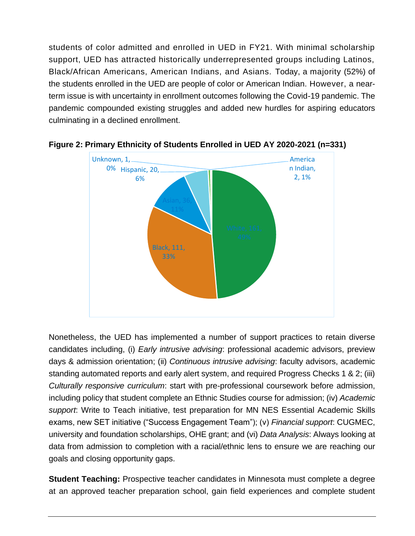students of color admitted and enrolled in UED in FY21. With minimal scholarship support, UED has attracted historically underrepresented groups including Latinos, Black/African Americans, American Indians, and Asians. Today, a majority (52%) of the students enrolled in the UED are people of color or American Indian. However, a nearterm issue is with uncertainty in enrollment outcomes following the Covid-19 pandemic. The pandemic compounded existing struggles and added new hurdles for aspiring educators culminating in a declined enrollment.





Nonetheless, the UED has implemented a number of support practices to retain diverse candidates including, (i) *Early intrusive advising*: professional academic advisors, preview days & admission orientation; (ii) *Continuous intrusive advising*: faculty advisors, academic standing automated reports and early alert system, and required Progress Checks 1 & 2; (iii) *Culturally responsive curriculum*: start with pre-professional coursework before admission, including policy that student complete an Ethnic Studies course for admission; (iv) *Academic support*: Write to Teach initiative, test preparation for MN NES Essential Academic Skills exams, new SET initiative ("Success Engagement Team"); (v) *Financial support*: CUGMEC, university and foundation scholarships, OHE grant; and (vi) *Data Analysis*: Always looking at data from admission to completion with a racial/ethnic lens to ensure we are reaching our goals and closing opportunity gaps.

**Student Teaching:** Prospective teacher candidates in Minnesota must complete a degree at an approved teacher preparation school, gain field experiences and complete student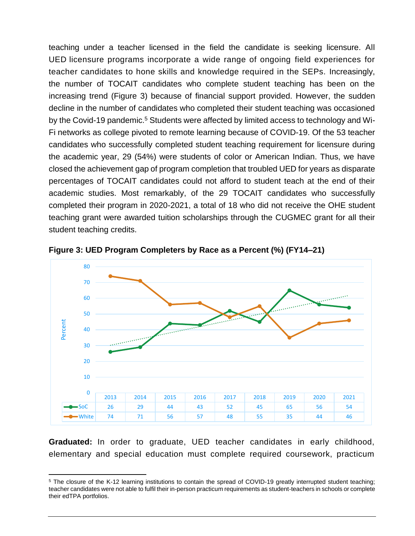teaching under a teacher licensed in the field the candidate is seeking licensure. All UED licensure programs incorporate a wide range of ongoing field experiences for teacher candidates to hone skills and knowledge required in the SEPs. Increasingly, the number of TOCAIT candidates who complete student teaching has been on the increasing trend (Figure 3) because of financial support provided. However, the sudden decline in the number of candidates who completed their student teaching was occasioned by the Covid-19 pandemic.<sup>5</sup> Students were affected by limited access to technology and Wi-Fi networks as college pivoted to remote learning because of COVID-19. Of the 53 teacher candidates who successfully completed student teaching requirement for licensure during the academic year, 29 (54%) were students of color or American Indian. Thus, we have closed the achievement gap of program completion that troubled UED for years as disparate percentages of TOCAIT candidates could not afford to student teach at the end of their academic studies. Most remarkably, of the 29 TOCAIT candidates who successfully completed their program in 2020-2021, a total of 18 who did not receive the OHE student teaching grant were awarded tuition scholarships through the CUGMEC grant for all their student teaching credits.



**Figure 3: UED Program Completers by Race as a Percent (%) (FY14–21)** 

**Graduated:** In order to graduate, UED teacher candidates in early childhood, elementary and special education must complete required coursework, practicum

<sup>&</sup>lt;sup>5</sup> The closure of the K-12 learning institutions to contain the spread of COVID-19 greatly interrupted student teaching; teacher candidates were not able to fulfil their in-person practicum requirements as student-teachers in schools or complete their edTPA portfolios.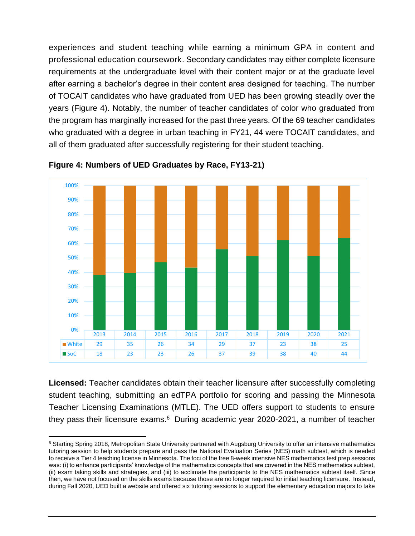experiences and student teaching while earning a minimum GPA in content and professional education coursework. Secondary candidates may either complete licensure requirements at the undergraduate level with their content major or at the graduate level after earning a bachelor's degree in their content area designed for teaching. The number of TOCAIT candidates who have graduated from UED has been growing steadily over the years (Figure 4). Notably, the number of teacher candidates of color who graduated from the program has marginally increased for the past three years. Of the 69 teacher candidates who graduated with a degree in urban teaching in FY21, 44 were TOCAIT candidates, and all of them graduated after successfully registering for their student teaching.



**Figure 4: Numbers of UED Graduates by Race, FY13-21)**

**Licensed:** Teacher candidates obtain their teacher licensure after successfully completing student teaching, submitting an edTPA portfolio for scoring and passing the Minnesota Teacher Licensing Examinations (MTLE). The UED offers support to students to ensure they pass their licensure exams.<sup>6</sup> During academic year 2020-2021, a number of teacher

<sup>&</sup>lt;sup>6</sup> Starting Spring 2018, Metropolitan State University partnered with Augsburg University to offer an intensive mathematics tutoring session to help students prepare and pass the National Evaluation Series (NES) math subtest, which is needed to receive a Tier 4 teaching license in Minnesota. The foci of the free 8-week intensive NES mathematics test prep sessions was: (i) to enhance participants' knowledge of the mathematics concepts that are covered in the NES mathematics subtest, (ii) exam taking skills and strategies, and (iii) to acclimate the participants to the NES mathematics subtest itself. Since then, we have not focused on the skills exams because those are no longer required for initial teaching licensure. Instead, during Fall 2020, UED built a website and offered six tutoring sessions to support the elementary education majors to take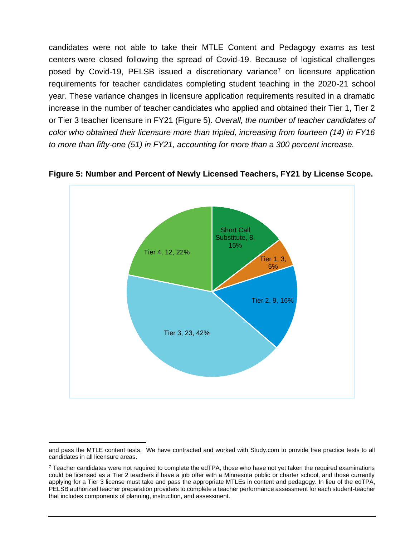candidates were not able to take their MTLE Content and Pedagogy exams as test centers were closed following the spread of Covid-19. Because of logistical challenges posed by Covid-19, PELSB issued a discretionary variance<sup>7</sup> on licensure application requirements for teacher candidates completing student teaching in the 2020-21 school year. These variance changes in licensure application requirements resulted in a dramatic increase in the number of teacher candidates who applied and obtained their Tier 1, Tier 2 or Tier 3 teacher licensure in FY21 (Figure 5). *Overall, the number of teacher candidates of color who obtained their licensure more than tripled, increasing from fourteen (14) in FY16 to more than fifty-one (51) in FY21, accounting for more than a 300 percent increase.*



#### **Figure 5: Number and Percent of Newly Licensed Teachers, FY21 by License Scope.**

and pass the MTLE content tests. We have contracted and worked with Study.com to provide free practice tests to all candidates in all licensure areas.

 $7$  Teacher candidates were not required to complete the edTPA, those who have not yet taken the required examinations could be licensed as a Tier 2 teachers if have a job offer with a Minnesota public or charter school, and those currently applying for a Tier 3 license must take and pass the appropriate MTLEs in content and pedagogy. In lieu of the edTPA, PELSB authorized teacher preparation providers to complete a teacher performance assessment for each student-teacher that includes components of planning, instruction, and assessment.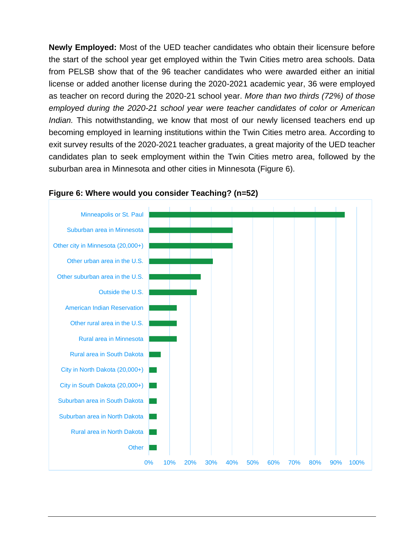**Newly Employed:** Most of the UED teacher candidates who obtain their licensure before the start of the school year get employed within the Twin Cities metro area schools. Data from PELSB show that of the 96 teacher candidates who were awarded either an initial license or added another license during the 2020-2021 academic year, 36 were employed as teacher on record during the 2020-21 school year. *More than two thirds (72%) of those employed during the 2020-21 school year were teacher candidates of color or American Indian.* This notwithstanding, we know that most of our newly licensed teachers end up becoming employed in learning institutions within the Twin Cities metro area. According to exit survey results of the 2020-2021 teacher graduates, a great majority of the UED teacher candidates plan to seek employment within the Twin Cities metro area, followed by the suburban area in Minnesota and other cities in Minnesota (Figure 6).



#### **Figure 6: Where would you consider Teaching? (n=52)**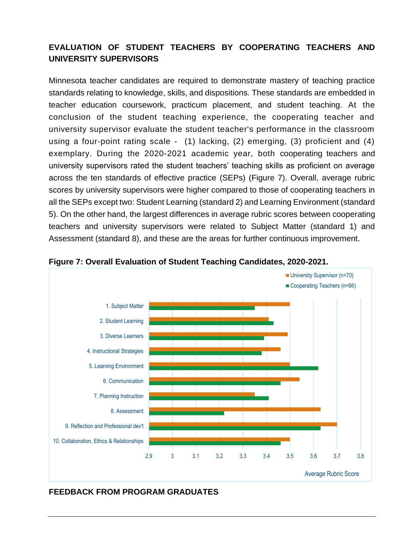## **EVALUATION OF STUDENT TEACHERS BY COOPERATING TEACHERS AND UNIVERSITY SUPERVISORS**

Minnesota teacher candidates are required to demonstrate mastery of teaching practice standards relating to knowledge, skills, and dispositions. These standards are embedded in teacher education coursework, practicum placement, and student teaching. At the conclusion of the student teaching experience, the cooperating teacher and university supervisor evaluate the student teacher's performance in the classroom using a four-point rating scale - (1) lacking, (2) emerging, (3) proficient and (4) exemplary. During the 2020-2021 academic year, both cooperating teachers and university supervisors rated the student teachers' teaching skills as proficient on average across the ten standards of effective practice (SEPs) (Figure 7). Overall, average rubric scores by university supervisors were higher compared to those of cooperating teachers in all the SEPs except two: Student Learning (standard 2) and Learning Environment (standard 5). On the other hand, the largest differences in average rubric scores between cooperating teachers and university supervisors were related to Subject Matter (standard 1) and Assessment (standard 8), and these are the areas for further continuous improvement.



**Figure 7: Overall Evaluation of Student Teaching Candidates, 2020-2021.**

#### **FEEDBACK FROM PROGRAM GRADUATES**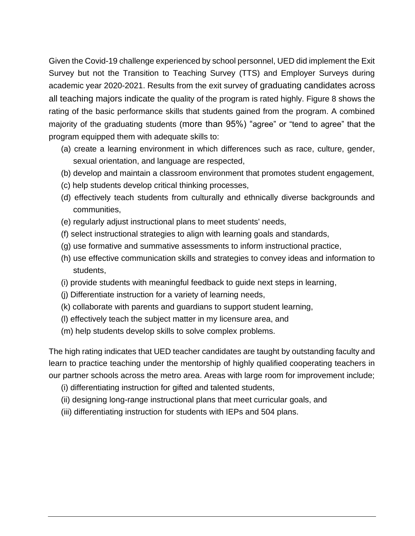Given the Covid-19 challenge experienced by school personnel, UED did implement the Exit Survey but not the Transition to Teaching Survey (TTS) and Employer Surveys during academic year 2020-2021. Results from the exit survey of graduating candidates across all teaching majors indicate the quality of the program is rated highly. Figure 8 shows the rating of the basic performance skills that students gained from the program. A combined majority of the graduating students (more than 95%) "agree" or "tend to agree" that the program equipped them with adequate skills to:

- (a) create a learning environment in which differences such as race, culture, gender, sexual orientation, and language are respected,
- (b) develop and maintain a classroom environment that promotes student engagement,
- (c) help students develop critical thinking processes,
- (d) effectively teach students from culturally and ethnically diverse backgrounds and communities,
- (e) regularly adjust instructional plans to meet students' needs,
- (f) select instructional strategies to align with learning goals and standards,
- (g) use formative and summative assessments to inform instructional practice,
- (h) use effective communication skills and strategies to convey ideas and information to students,
- (i) provide students with meaningful feedback to guide next steps in learning,
- (j) Differentiate instruction for a variety of learning needs,
- (k) collaborate with parents and guardians to support student learning,
- (l) effectively teach the subject matter in my licensure area, and
- (m) help students develop skills to solve complex problems.

The high rating indicates that UED teacher candidates are taught by outstanding faculty and learn to practice teaching under the mentorship of highly qualified cooperating teachers in our partner schools across the metro area. Areas with large room for improvement include;

- (i) differentiating instruction for gifted and talented students,
- (ii) designing long-range instructional plans that meet curricular goals, and
- (iii) differentiating instruction for students with IEPs and 504 plans.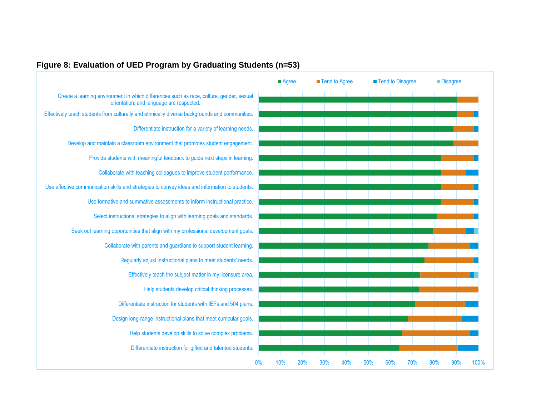

#### **Figure 8: Evaluation of UED Program by Graduating Students (n=53)**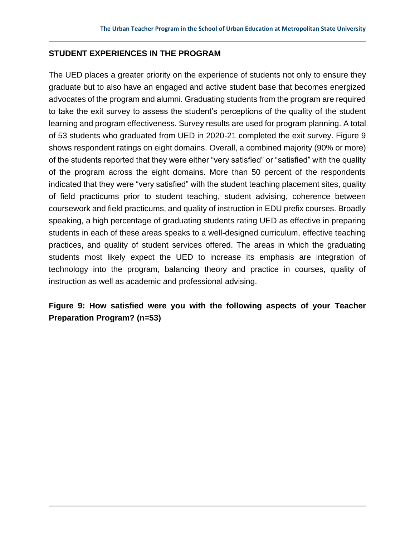#### **STUDENT EXPERIENCES IN THE PROGRAM**

The UED places a greater priority on the experience of students not only to ensure they graduate but to also have an engaged and active student base that becomes energized advocates of the program and alumni. Graduating students from the program are required to take the exit survey to assess the student's perceptions of the quality of the student learning and program effectiveness. Survey results are used for program planning. A total of 53 students who graduated from UED in 2020-21 completed the exit survey. Figure 9 shows respondent ratings on eight domains. Overall, a combined majority (90% or more) of the students reported that they were either "very satisfied" or "satisfied" with the quality of the program across the eight domains. More than 50 percent of the respondents indicated that they were "very satisfied" with the student teaching placement sites, quality of field practicums prior to student teaching, student advising, coherence between coursework and field practicums, and quality of instruction in EDU prefix courses. Broadly speaking, a high percentage of graduating students rating UED as effective in preparing students in each of these areas speaks to a well-designed curriculum, effective teaching practices, and quality of student services offered. The areas in which the graduating students most likely expect the UED to increase its emphasis are integration of technology into the program, balancing theory and practice in courses, quality of instruction as well as academic and professional advising.

## **Figure 9: How satisfied were you with the following aspects of your Teacher Preparation Program? (n=53)**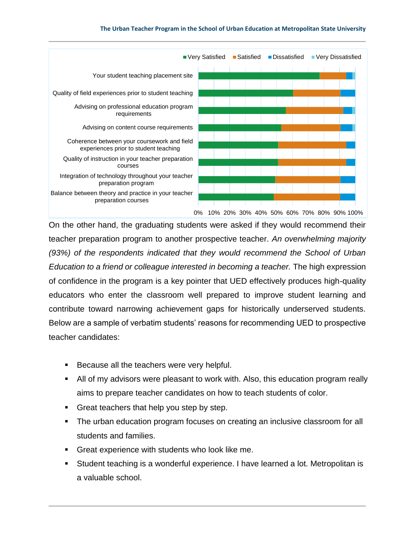

On the other hand, the graduating students were asked if they would recommend their teacher preparation program to another prospective teacher. *An overwhelming majority (93%) of the respondents indicated that they would recommend the School of Urban Education to a friend or colleague interested in becoming a teacher.* The high expression of confidence in the program is a key pointer that UED effectively produces high-quality educators who enter the classroom well prepared to improve student learning and contribute toward narrowing achievement gaps for historically underserved students. Below are a sample of verbatim students' reasons for recommending UED to prospective teacher candidates:

- Because all the teachers were very helpful.
- All of my advisors were pleasant to work with. Also, this education program really aims to prepare teacher candidates on how to teach students of color.
- Great teachers that help you step by step.
- The urban education program focuses on creating an inclusive classroom for all students and families.
- Great experience with students who look like me.
- Student teaching is a wonderful experience. I have learned a lot. Metropolitan is a valuable school.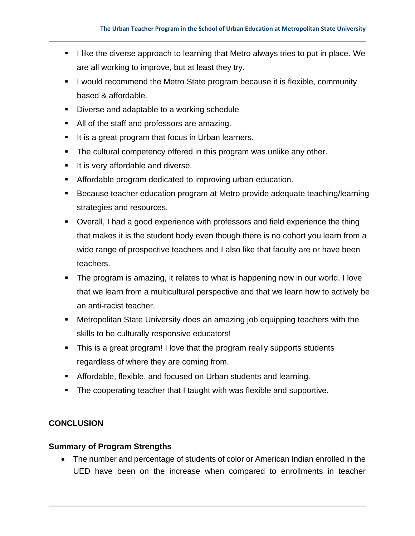- I like the diverse approach to learning that Metro always tries to put in place. We are all working to improve, but at least they try.
- I would recommend the Metro State program because it is flexible, community based & affordable.
- Diverse and adaptable to a working schedule
- All of the staff and professors are amazing.
- It is a great program that focus in Urban learners.
- **The cultural competency offered in this program was unlike any other.**
- **■** It is very affordable and diverse.
- Affordable program dedicated to improving urban education.
- Because teacher education program at Metro provide adequate teaching/learning strategies and resources.
- Overall, I had a good experience with professors and field experience the thing that makes it is the student body even though there is no cohort you learn from a wide range of prospective teachers and I also like that faculty are or have been teachers.
- **The program is amazing, it relates to what is happening now in our world. I love** that we learn from a multicultural perspective and that we learn how to actively be an anti-racist teacher.
- Metropolitan State University does an amazing job equipping teachers with the skills to be culturally responsive educators!
- **.** This is a great program! I love that the program really supports students regardless of where they are coming from.
- **EXEDENT Affordable, flexible, and focused on Urban students and learning.**
- The cooperating teacher that I taught with was flexible and supportive.

## **CONCLUSION**

### **Summary of Program Strengths**

• The number and percentage of students of color or American Indian enrolled in the UED have been on the increase when compared to enrollments in teacher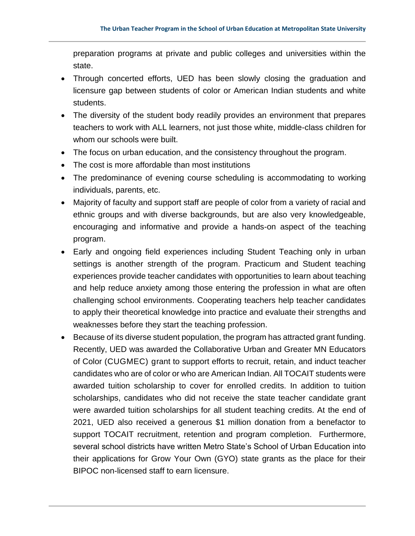preparation programs at private and public colleges and universities within the state.

- Through concerted efforts, UED has been slowly closing the graduation and licensure gap between students of color or American Indian students and white students.
- The diversity of the student body readily provides an environment that prepares teachers to work with ALL learners, not just those white, middle-class children for whom our schools were built.
- The focus on urban education, and the consistency throughout the program.
- The cost is more affordable than most institutions
- The predominance of evening course scheduling is accommodating to working individuals, parents, etc.
- Majority of faculty and support staff are people of color from a variety of racial and ethnic groups and with diverse backgrounds, but are also very knowledgeable, encouraging and informative and provide a hands-on aspect of the teaching program.
- Early and ongoing field experiences including Student Teaching only in urban settings is another strength of the program. Practicum and Student teaching experiences provide teacher candidates with opportunities to learn about teaching and help reduce anxiety among those entering the profession in what are often challenging school environments. Cooperating teachers help teacher candidates to apply their theoretical knowledge into practice and evaluate their strengths and weaknesses before they start the teaching profession.
- Because of its diverse student population, the program has attracted grant funding. Recently, UED was awarded the Collaborative Urban and Greater MN Educators of Color (CUGMEC) grant to support efforts to recruit, retain, and induct teacher candidates who are of color or who are American Indian. All TOCAIT students were awarded tuition scholarship to cover for enrolled credits. In addition to tuition scholarships, candidates who did not receive the state teacher candidate grant were awarded tuition scholarships for all student teaching credits. At the end of 2021, UED also received a generous \$1 million donation from a benefactor to support TOCAIT recruitment, retention and program completion. Furthermore, several school districts have written Metro State's School of Urban Education into their applications for Grow Your Own (GYO) state grants as the place for their BIPOC non-licensed staff to earn licensure.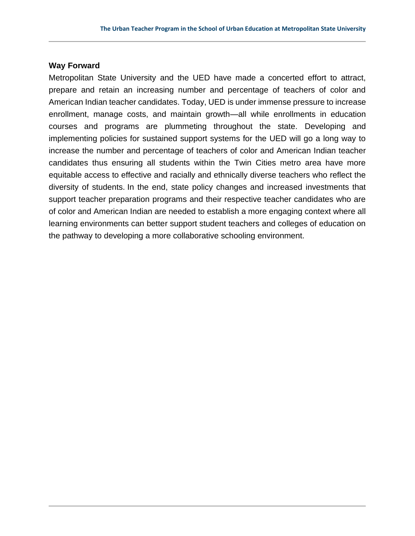#### **Way Forward**

Metropolitan State University and the UED have made a concerted effort to attract, prepare and retain an increasing number and percentage of teachers of color and American Indian teacher candidates. Today, UED is under immense pressure to increase enrollment, manage costs, and maintain growth—all while enrollments in education courses and programs are plummeting throughout the state. Developing and implementing policies for sustained support systems for the UED will go a long way to increase the number and percentage of teachers of color and American Indian teacher candidates thus ensuring all students within the Twin Cities metro area have more equitable access to effective and racially and ethnically diverse teachers who reflect the diversity of students. In the end, state policy changes and increased investments that support teacher preparation programs and their respective teacher candidates who are of color and American Indian are needed to establish a more engaging context where all learning environments can better support student teachers and colleges of education on the pathway to developing a more collaborative schooling environment.